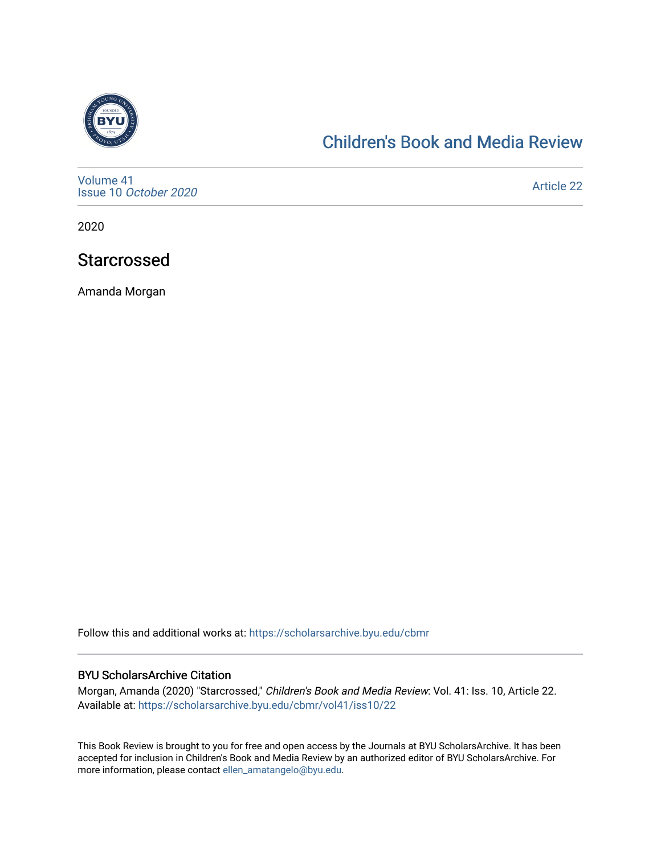

### [Children's Book and Media Review](https://scholarsarchive.byu.edu/cbmr)

[Volume 41](https://scholarsarchive.byu.edu/cbmr/vol41) Issue 10 [October 2020](https://scholarsarchive.byu.edu/cbmr/vol41/iss10)

[Article 22](https://scholarsarchive.byu.edu/cbmr/vol41/iss10/22) 

2020

### Starcrossed

Amanda Morgan

Follow this and additional works at: [https://scholarsarchive.byu.edu/cbmr](https://scholarsarchive.byu.edu/cbmr?utm_source=scholarsarchive.byu.edu%2Fcbmr%2Fvol41%2Fiss10%2F22&utm_medium=PDF&utm_campaign=PDFCoverPages) 

#### BYU ScholarsArchive Citation

Morgan, Amanda (2020) "Starcrossed," Children's Book and Media Review: Vol. 41: Iss. 10, Article 22. Available at: [https://scholarsarchive.byu.edu/cbmr/vol41/iss10/22](https://scholarsarchive.byu.edu/cbmr/vol41/iss10/22?utm_source=scholarsarchive.byu.edu%2Fcbmr%2Fvol41%2Fiss10%2F22&utm_medium=PDF&utm_campaign=PDFCoverPages) 

This Book Review is brought to you for free and open access by the Journals at BYU ScholarsArchive. It has been accepted for inclusion in Children's Book and Media Review by an authorized editor of BYU ScholarsArchive. For more information, please contact [ellen\\_amatangelo@byu.edu.](mailto:ellen_amatangelo@byu.edu)